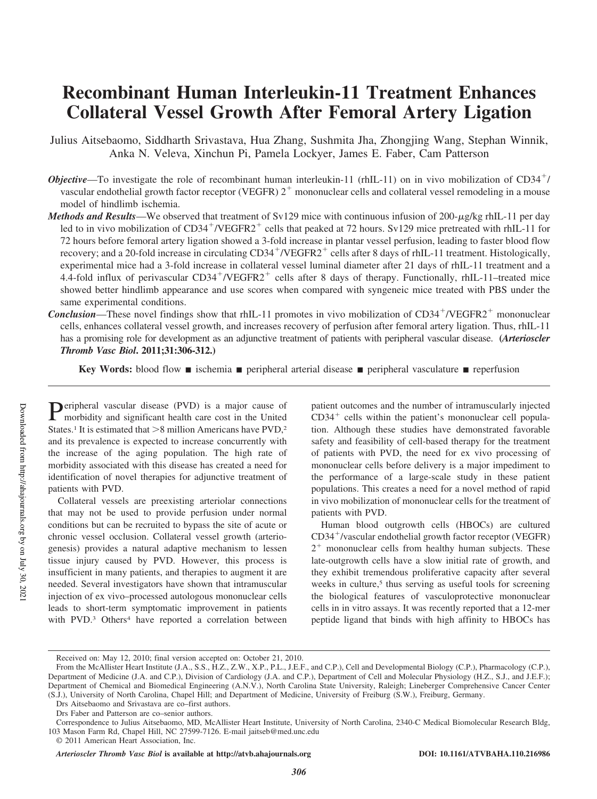# **Recombinant Human Interleukin-11 Treatment Enhances Collateral Vessel Growth After Femoral Artery Ligation**

Julius Aitsebaomo, Siddharth Srivastava, Hua Zhang, Sushmita Jha, Zhongjing Wang, Stephan Winnik, Anka N. Veleva, Xinchun Pi, Pamela Lockyer, James E. Faber, Cam Patterson

- *Objective*—To investigate the role of recombinant human interleukin-11 (rhIL-11) on in vivo mobilization of CD34<sup>+</sup>/ vascular endothelial growth factor receptor (VEGFR)  $2<sup>+</sup>$  mononuclear cells and collateral vessel remodeling in a mouse model of hindlimb ischemia.
- *Methods and Results*—We observed that treatment of Sv129 mice with continuous infusion of 200- $\mu$ g/kg rhIL-11 per day led to in vivo mobilization of CD34<sup>+</sup>/VEGFR2<sup>+</sup> cells that peaked at 72 hours. Sv129 mice pretreated with rhIL-11 for 72 hours before femoral artery ligation showed a 3-fold increase in plantar vessel perfusion, leading to faster blood flow recovery; and a 20-fold increase in circulating CD34<sup>+</sup>/VEGFR2<sup>+</sup> cells after 8 days of rhIL-11 treatment. Histologically, experimental mice had a 3-fold increase in collateral vessel luminal diameter after 21 days of rhIL-11 treatment and a 4.4-fold influx of perivascular CD34 /VEGFR2 cells after 8 days of therapy. Functionally, rhIL-11–treated mice showed better hindlimb appearance and use scores when compared with syngeneic mice treated with PBS under the same experimental conditions.
- **Conclusion**—These novel findings show that rhIL-11 promotes in vivo mobilization of CD34<sup>+</sup>/VEGFR2<sup>+</sup> mononuclear cells, enhances collateral vessel growth, and increases recovery of perfusion after femoral artery ligation. Thus, rhIL-11 has a promising role for development as an adjunctive treatment of patients with peripheral vascular disease. **(***Arterioscler Thromb Vasc Biol***. 2011;31:306-312.)**

**Key Words:** blood flow ■ ischemia ■ peripheral arterial disease ■ peripheral vasculature ■ reperfusion

**P**eripheral vascular disease (PVD) is a major cause of morbidity and significant health care cost in the United morbidity and significant health care cost in the United States.<sup>1</sup> It is estimated that  $>8$  million Americans have  $PVD$ ,<sup>2</sup> and its prevalence is expected to increase concurrently with the increase of the aging population. The high rate of morbidity associated with this disease has created a need for identification of novel therapies for adjunctive treatment of patients with PVD.

Collateral vessels are preexisting arteriolar connections that may not be used to provide perfusion under normal conditions but can be recruited to bypass the site of acute or chronic vessel occlusion. Collateral vessel growth (arteriogenesis) provides a natural adaptive mechanism to lessen tissue injury caused by PVD. However, this process is insufficient in many patients, and therapies to augment it are needed. Several investigators have shown that intramuscular injection of ex vivo–processed autologous mononuclear cells leads to short-term symptomatic improvement in patients with PVD.<sup>3</sup> Others<sup>4</sup> have reported a correlation between

patient outcomes and the number of intramuscularly injected  $CD34<sup>+</sup>$  cells within the patient's mononuclear cell population. Although these studies have demonstrated favorable safety and feasibility of cell-based therapy for the treatment of patients with PVD, the need for ex vivo processing of mononuclear cells before delivery is a major impediment to the performance of a large-scale study in these patient populations. This creates a need for a novel method of rapid in vivo mobilization of mononuclear cells for the treatment of patients with PVD.

Human blood outgrowth cells (HBOCs) are cultured CD34 /vascular endothelial growth factor receptor (VEGFR) 2<sup>+</sup> mononuclear cells from healthy human subjects. These late-outgrowth cells have a slow initial rate of growth, and they exhibit tremendous proliferative capacity after several weeks in culture,<sup>5</sup> thus serving as useful tools for screening the biological features of vasculoprotective mononuclear cells in in vitro assays. It was recently reported that a 12-mer peptide ligand that binds with high affinity to HBOCs has

*Arterioscler Thromb Vasc Biol* **is available at http://atvb.ahajournals.org DOI: 10.1161/ATVBAHA.110.216986**

Received on: May 12, 2010; final version accepted on: October 21, 2010.

From the McAllister Heart Institute (J.A., S.S., H.Z., Z.W., X.P., P.L., J.E.F., and C.P.), Cell and Developmental Biology (C.P.), Pharmacology (C.P.), Department of Medicine (J.A. and C.P.), Division of Cardiology (J.A. and C.P.), Department of Cell and Molecular Physiology (H.Z., S.J., and J.E.F.); Department of Chemical and Biomedical Engineering (A.N.V.), North Carolina State University, Raleigh; Lineberger Comprehensive Cancer Center (S.J.), University of North Carolina, Chapel Hill; and Department of Medicine, University of Freiburg (S.W.), Freiburg, Germany.

Drs Aitsebaomo and Srivastava are co–first authors.

Drs Faber and Patterson are co–senior authors.

Correspondence to Julius Aitsebaomo, MD, McAllister Heart Institute, University of North Carolina, 2340-C Medical Biomolecular Research Bldg, 103 Mason Farm Rd, Chapel Hill, NC 27599-7126. E-mail jaitseb@med.unc.edu

<sup>© 2011</sup> American Heart Association, Inc.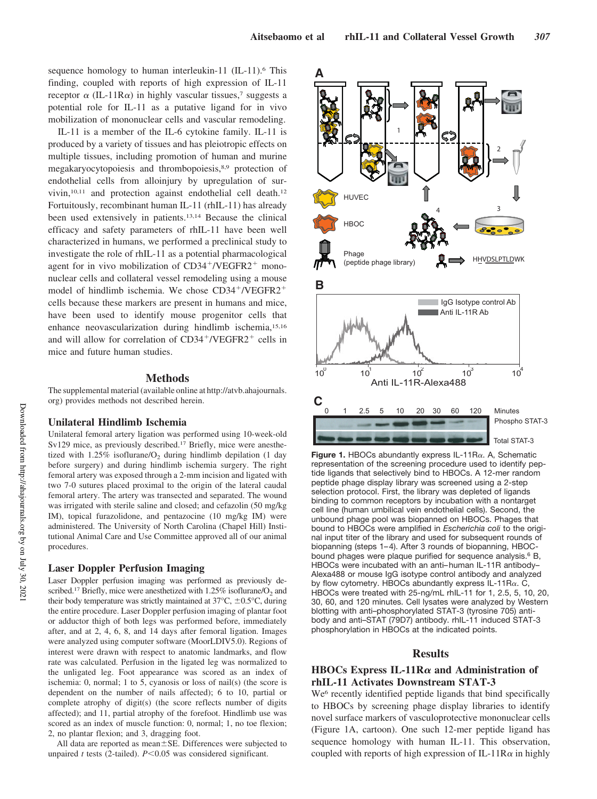sequence homology to human interleukin-11 (IL-11).<sup>6</sup> This finding, coupled with reports of high expression of IL-11 receptor  $\alpha$  (IL-11R $\alpha$ ) in highly vascular tissues,<sup>7</sup> suggests a potential role for IL-11 as a putative ligand for in vivo mobilization of mononuclear cells and vascular remodeling.

IL-11 is a member of the IL-6 cytokine family. IL-11 is produced by a variety of tissues and has pleiotropic effects on multiple tissues, including promotion of human and murine megakaryocytopoiesis and thrombopoiesis,8,9 protection of endothelial cells from alloinjury by upregulation of survivin,10,11 and protection against endothelial cell death.<sup>12</sup> Fortuitously, recombinant human IL-11 (rhIL-11) has already been used extensively in patients.13,14 Because the clinical efficacy and safety parameters of rhIL-11 have been well characterized in humans, we performed a preclinical study to investigate the role of rhIL-11 as a potential pharmacological agent for in vivo mobilization of  $CD34^+/VEGFR2^+$  mononuclear cells and collateral vessel remodeling using a mouse model of hindlimb ischemia. We chose  $CD34+/VEGFR2+$ cells because these markers are present in humans and mice, have been used to identify mouse progenitor cells that enhance neovascularization during hindlimb ischemia,15,16 and will allow for correlation of  $CD34^+/VEGFR2^+$  cells in mice and future human studies.

#### **Methods**

The supplemental material (available online at http://atvb.ahajournals. org) provides methods not described herein.

#### **Unilateral Hindlimb Ischemia**

Unilateral femoral artery ligation was performed using 10-week-old Sv129 mice, as previously described.<sup>17</sup> Briefly, mice were anesthetized with  $1.25\%$  isoflurane/O<sub>2</sub> during hindlimb depilation (1 day before surgery) and during hindlimb ischemia surgery. The right femoral artery was exposed through a 2-mm incision and ligated with two 7-0 sutures placed proximal to the origin of the lateral caudal femoral artery. The artery was transected and separated. The wound was irrigated with sterile saline and closed; and cefazolin (50 mg/kg IM), topical furazolidone, and pentazocine (10 mg/kg IM) were administered. The University of North Carolina (Chapel Hill) Institutional Animal Care and Use Committee approved all of our animal procedures.

#### **Laser Doppler Perfusion Imaging**

Laser Doppler perfusion imaging was performed as previously described.<sup>17</sup> Briefly, mice were anesthetized with  $1.25\%$  isoflurane/ $O_2$  and their body temperature was strictly maintained at  $37^{\circ}$ C,  $\pm 0.5^{\circ}$ C, during the entire procedure. Laser Doppler perfusion imaging of plantar foot or adductor thigh of both legs was performed before, immediately after, and at 2, 4, 6, 8, and 14 days after femoral ligation. Images were analyzed using computer software (MoorLDIV5.0). Regions of interest were drawn with respect to anatomic landmarks, and flow rate was calculated. Perfusion in the ligated leg was normalized to the unligated leg. Foot appearance was scored as an index of ischemia: 0, normal; 1 to 5, cyanosis or loss of nail(s) (the score is dependent on the number of nails affected); 6 to 10, partial or complete atrophy of digit(s) (the score reflects number of digits affected); and 11, partial atrophy of the forefoot. Hindlimb use was scored as an index of muscle function: 0, normal; 1, no toe flexion; 2, no plantar flexion; and 3, dragging foot.

All data are reported as mean $\pm$ SE. Differences were subjected to unpaired *t* tests (2-tailed).  $P \le 0.05$  was considered significant.



**Figure 1.** HBOCs abundantly express  $IL-11R<sub>\alpha</sub>$ . A, Schematic representation of the screening procedure used to identify peptide ligands that selectively bind to HBOCs. A 12-mer random peptide phage display library was screened using a 2-step selection protocol. First, the library was depleted of ligands binding to common receptors by incubation with a nontarget cell line (human umbilical vein endothelial cells). Second, the unbound phage pool was biopanned on HBOCs. Phages that bound to HBOCs were amplified in *Escherichia coli* to the original input titer of the library and used for subsequent rounds of biopanning (steps 1–4). After 3 rounds of biopanning, HBOCbound phages were plaque purified for sequence analysis.<sup>6</sup> B, HBOCs were incubated with an anti–human IL-11R antibody– Alexa488 or mouse IgG isotype control antibody and analyzed by flow cytometry. HBOCs abundantly express IL-11R $\alpha$ . C, HBOCs were treated with 25-ng/mL rhIL-11 for 1, 2.5, 5, 10, 20, 30, 60, and 120 minutes. Cell lysates were analyzed by Western blotting with anti–phosphorylated STAT-3 (tyrosine 705) antibody and anti–STAT (79D7) antibody. rhIL-11 induced STAT-3 phosphorylation in HBOCs at the indicated points.

#### **Results**

### **HBOCs Express IL-11R** $\alpha$  **and Administration of rhIL-11 Activates Downstream STAT-3**

We<sup>6</sup> recently identified peptide ligands that bind specifically to HBOCs by screening phage display libraries to identify novel surface markers of vasculoprotective mononuclear cells (Figure 1A, cartoon). One such 12-mer peptide ligand has sequence homology with human IL-11. This observation, coupled with reports of high expression of IL-11R $\alpha$  in highly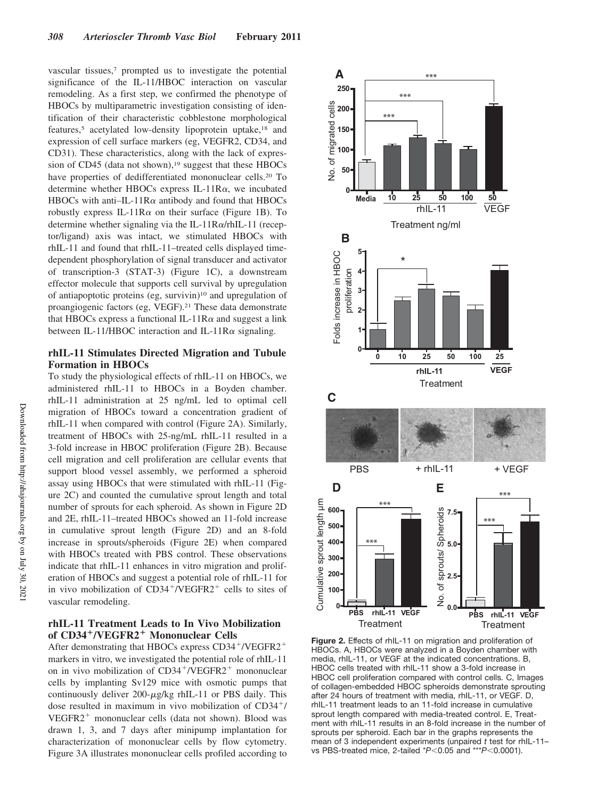vascular tissues,<sup>7</sup> prompted us to investigate the potential significance of the IL-11/HBOC interaction on vascular remodeling. As a first step, we confirmed the phenotype of HBOCs by multiparametric investigation consisting of identification of their characteristic cobblestone morphological features,<sup>5</sup> acetylated low-density lipoprotein uptake,<sup>18</sup> and expression of cell surface markers (eg, VEGFR2, CD34, and CD31). These characteristics, along with the lack of expression of CD45 (data not shown), $19$  suggest that these HBOCs have properties of dedifferentiated mononuclear cells.<sup>20</sup> To determine whether HBOCs express IL-11R $\alpha$ , we incubated HBOCs with anti-IL-11R $\alpha$  antibody and found that HBOCs robustly express IL-11R $\alpha$  on their surface (Figure 1B). To determine whether signaling via the IL-11R $\alpha$ /rhIL-11 (receptor/ligand) axis was intact, we stimulated HBOCs with rhIL-11 and found that rhIL-11–treated cells displayed timedependent phosphorylation of signal transducer and activator of transcription-3 (STAT-3) (Figure 1C), a downstream effector molecule that supports cell survival by upregulation of antiapoptotic proteins (eg, survivin)<sup>10</sup> and upregulation of proangiogenic factors (eg, VEGF).<sup>21</sup> These data demonstrate that HBOCs express a functional IL-11R $\alpha$  and suggest a link between IL-11/HBOC interaction and IL-11R $\alpha$  signaling.

# **rhIL-11 Stimulates Directed Migration and Tubule Formation in HBOCs**

To study the physiological effects of rhIL-11 on HBOCs, we administered rhIL-11 to HBOCs in a Boyden chamber. rhIL-11 administration at 25 ng/mL led to optimal cell migration of HBOCs toward a concentration gradient of rhIL-11 when compared with control (Figure 2A). Similarly, treatment of HBOCs with 25-ng/mL rhIL-11 resulted in a 3-fold increase in HBOC proliferation (Figure 2B). Because cell migration and cell proliferation are cellular events that support blood vessel assembly, we performed a spheroid assay using HBOCs that were stimulated with rhIL-11 (Figure 2C) and counted the cumulative sprout length and total number of sprouts for each spheroid. As shown in Figure 2D and 2E, rhIL-11–treated HBOCs showed an 11-fold increase in cumulative sprout length (Figure 2D) and an 8-fold increase in sprouts/spheroids (Figure 2E) when compared with HBOCs treated with PBS control. These observations indicate that rhIL-11 enhances in vitro migration and proliferation of HBOCs and suggest a potential role of rhIL-11 for in vivo mobilization of  $CD34^+/\text{VEGFR2}^+$  cells to sites of vascular remodeling.

# **rhIL-11 Treatment Leads to In Vivo Mobilization of CD34**- **/VEGFR2**- **Mononuclear Cells**

After demonstrating that HBOCs express CD34<sup>+</sup>/VEGFR2<sup>+</sup> markers in vitro, we investigated the potential role of rhIL-11 on in vivo mobilization of  $CD34^+/\text{VEGFR2}^+$  mononuclear cells by implanting Sv129 mice with osmotic pumps that continuously deliver  $200 - \mu g/kg$  rhIL-11 or PBS daily. This dose resulted in maximum in vivo mobilization of  $CD34<sup>+</sup>/$  $VEGFR2<sup>+</sup> mononuclear cells (data not shown). Blood was$ drawn 1, 3, and 7 days after minipump implantation for characterization of mononuclear cells by flow cytometry. Figure 3A illustrates mononuclear cells profiled according to



**Figure 2.** Effects of rhIL-11 on migration and proliferation of HBOCs. A, HBOCs were analyzed in a Boyden chamber with media, rhIL-11, or VEGF at the indicated concentrations. B, HBOC cells treated with rhIL-11 show a 3-fold increase in HBOC cell proliferation compared with control cells. C, Images of collagen-embedded HBOC spheroids demonstrate sprouting after 24 hours of treatment with media, rhIL-11, or VEGF. D, rhIL-11 treatment leads to an 11-fold increase in cumulative sprout length compared with media-treated control. E, Treatment with rhIL-11 results in an 8-fold increase in the number of sprouts per spheroid. Each bar in the graphs represents the mean of 3 independent experiments (unpaired *t* test for rhIL-11– vs PBS-treated mice, 2-tailed \**P*<0.05 and \*\*\**P*<0.0001).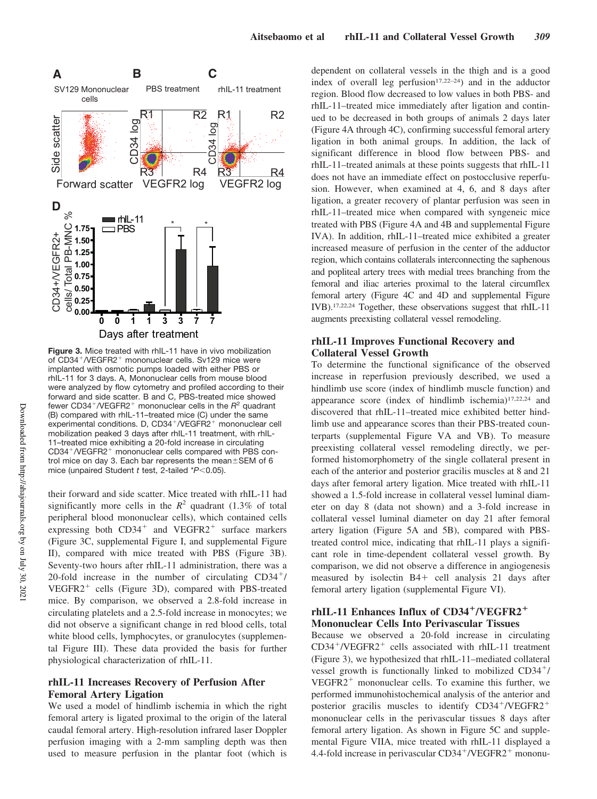

**Figure 3.** Mice treated with rhIL-11 have in vivo mobilization of CD34 /VEGFR2 mononuclear cells. Sv129 mice were implanted with osmotic pumps loaded with either PBS or rhIL-11 for 3 days. A, Mononuclear cells from mouse blood were analyzed by flow cytometry and profiled according to their forward and side scatter. B and C, PBS-treated mice showed fewer CD34 /VEGFR2 mononuclear cells in the *R* <sup>2</sup> quadrant (B) compared with rhIL-11–treated mice (C) under the same experimental conditions. D, CD34+/VEGFR2+ mononuclear cell mobilization peaked 3 days after rhIL-11 treatment, with rhIL-11–treated mice exhibiting a 20-fold increase in circulating CD34 /VEGFR2 mononuclear cells compared with PBS control mice on day 3. Each bar represents the mean $\pm$ SEM of 6 mice (unpaired Student *t* test, 2-tailed \*P<0.05).

their forward and side scatter. Mice treated with rhIL-11 had significantly more cells in the  $R^2$  quadrant (1.3% of total peripheral blood mononuclear cells), which contained cells expressing both  $CD34^+$  and  $VEGFR2^+$  surface markers (Figure 3C, supplemental Figure I, and supplemental Figure II), compared with mice treated with PBS (Figure 3B). Seventy-two hours after rhIL-11 administration, there was a 20-fold increase in the number of circulating  $CD34<sup>+</sup>/$ VEGFR2 cells (Figure 3D), compared with PBS-treated mice. By comparison, we observed a 2.8-fold increase in circulating platelets and a 2.5-fold increase in monocytes; we did not observe a significant change in red blood cells, total white blood cells, lymphocytes, or granulocytes (supplemental Figure III). These data provided the basis for further physiological characterization of rhIL-11.

# **rhIL-11 Increases Recovery of Perfusion After Femoral Artery Ligation**

We used a model of hindlimb ischemia in which the right femoral artery is ligated proximal to the origin of the lateral caudal femoral artery. High-resolution infrared laser Doppler perfusion imaging with a 2-mm sampling depth was then used to measure perfusion in the plantar foot (which is dependent on collateral vessels in the thigh and is a good index of overall leg perfusion $17,22-24$ ) and in the adductor region. Blood flow decreased to low values in both PBS- and rhIL-11–treated mice immediately after ligation and continued to be decreased in both groups of animals 2 days later (Figure 4A through 4C), confirming successful femoral artery ligation in both animal groups. In addition, the lack of significant difference in blood flow between PBS- and rhIL-11–treated animals at these points suggests that rhIL-11 does not have an immediate effect on postocclusive reperfusion. However, when examined at 4, 6, and 8 days after ligation, a greater recovery of plantar perfusion was seen in rhIL-11–treated mice when compared with syngeneic mice treated with PBS (Figure 4A and 4B and supplemental Figure IVA). In addition, rhIL-11–treated mice exhibited a greater increased measure of perfusion in the center of the adductor region, which contains collaterals interconnecting the saphenous and popliteal artery trees with medial trees branching from the femoral and iliac arteries proximal to the lateral circumflex femoral artery (Figure 4C and 4D and supplemental Figure IVB).17,22,24 Together, these observations suggest that rhIL-11 augments preexisting collateral vessel remodeling.

## **rhIL-11 Improves Functional Recovery and Collateral Vessel Growth**

To determine the functional significance of the observed increase in reperfusion previously described, we used a hindlimb use score (index of hindlimb muscle function) and appearance score (index of hindlimb ischemia)17,22,24 and discovered that rhIL-11–treated mice exhibited better hindlimb use and appearance scores than their PBS-treated counterparts (supplemental Figure VA and VB). To measure preexisting collateral vessel remodeling directly, we performed histomorphometry of the single collateral present in each of the anterior and posterior gracilis muscles at 8 and 21 days after femoral artery ligation. Mice treated with rhIL-11 showed a 1.5-fold increase in collateral vessel luminal diameter on day 8 (data not shown) and a 3-fold increase in collateral vessel luminal diameter on day 21 after femoral artery ligation (Figure 5A and 5B), compared with PBStreated control mice, indicating that rhIL-11 plays a significant role in time-dependent collateral vessel growth. By comparison, we did not observe a difference in angiogenesis measured by isolectin  $B4 +$  cell analysis 21 days after femoral artery ligation (supplemental Figure VI).

# rhIL-11 Enhances Influx of CD34<sup>+</sup>/VEGFR2<sup>+</sup> **Mononuclear Cells Into Perivascular Tissues**

Because we observed a 20-fold increase in circulating CD34<sup>+</sup>/VEGFR2<sup>+</sup> cells associated with rhIL-11 treatment (Figure 3), we hypothesized that rhIL-11–mediated collateral vessel growth is functionally linked to mobilized  $CD34<sup>+</sup>/$  $VEGFR2<sup>+</sup> mononuclear cells. To examine this further, we$ performed immunohistochemical analysis of the anterior and posterior gracilis muscles to identify CD34<sup>+</sup>/VEGFR2<sup>+</sup> mononuclear cells in the perivascular tissues 8 days after femoral artery ligation. As shown in Figure 5C and supplemental Figure VIIA, mice treated with rhIL-11 displayed a 4.4-fold increase in perivascular CD34<sup>+</sup>/VEGFR2<sup>+</sup> mononu-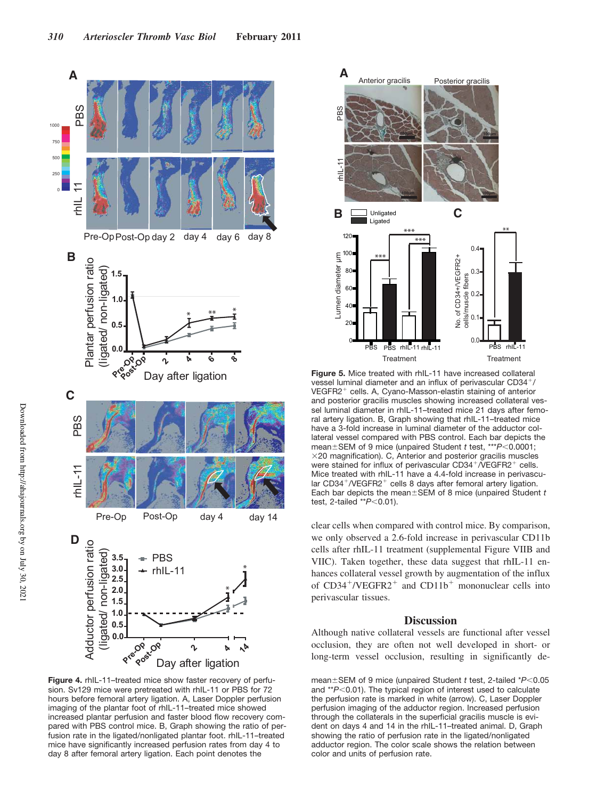

**Figure 4.** rhIL-11–treated mice show faster recovery of perfusion. Sv129 mice were pretreated with rhIL-11 or PBS for 72 hours before femoral artery ligation. A, Laser Doppler perfusion imaging of the plantar foot of rhIL-11–treated mice showed increased plantar perfusion and faster blood flow recovery compared with PBS control mice. B, Graph showing the ratio of perfusion rate in the ligated/nonligated plantar foot. rhIL-11–treated mice have significantly increased perfusion rates from day 4 to day 8 after femoral artery ligation. Each point denotes the



**Figure 5.** Mice treated with rhIL-11 have increased collateral vessel luminal diameter and an influx of perivascular CD34 / VEGFR2 cells. A, Cyano-Masson-elastin staining of anterior and posterior gracilis muscles showing increased collateral vessel luminal diameter in rhIL-11–treated mice 21 days after femoral artery ligation. B, Graph showing that rhIL-11–treated mice have a 3-fold increase in luminal diameter of the adductor collateral vessel compared with PBS control. Each bar depicts the mean ± SEM of 9 mice (unpaired Student *t* test, \*\*\* *P*<0.0001;  $\times$ 20 magnification). C, Anterior and posterior gracilis muscles were stained for influx of perivascular CD34<sup>+</sup>/VEGFR2<sup>+</sup> cells. Mice treated with rhIL-11 have a 4.4-fold increase in perivascular CD34<sup>+</sup>/VEGFR2<sup>+</sup> cells 8 days after femoral artery ligation. Each bar depicts the mean $\pm$ SEM of 8 mice (unpaired Student  $t$ test, 2-tailed \*\* $P$ <0.01).

clear cells when compared with control mice. By comparison, we only observed a 2.6-fold increase in perivascular CD11b cells after rhIL-11 treatment (supplemental Figure VIIB and VIIC). Taken together, these data suggest that rhIL-11 enhances collateral vessel growth by augmentation of the influx of  $CD34^+/VEGFR2^+$  and  $CD11b^+$  mononuclear cells into perivascular tissues.

#### **Discussion**

Although native collateral vessels are functional after vessel occlusion, they are often not well developed in short- or long-term vessel occlusion, resulting in significantly de-

mean ± SEM of 9 mice (unpaired Student *t* test, 2-tailed \* $P$ <0.05 and \*\**P*<0.01). The typical region of interest used to calculate the perfusion rate is marked in white (arrow). C, Laser Doppler perfusion imaging of the adductor region. Increased perfusion through the collaterals in the superficial gracilis muscle is evident on days 4 and 14 in the rhIL-11–treated animal. D, Graph showing the ratio of perfusion rate in the ligated/nonligated adductor region. The color scale shows the relation between color and units of perfusion rate.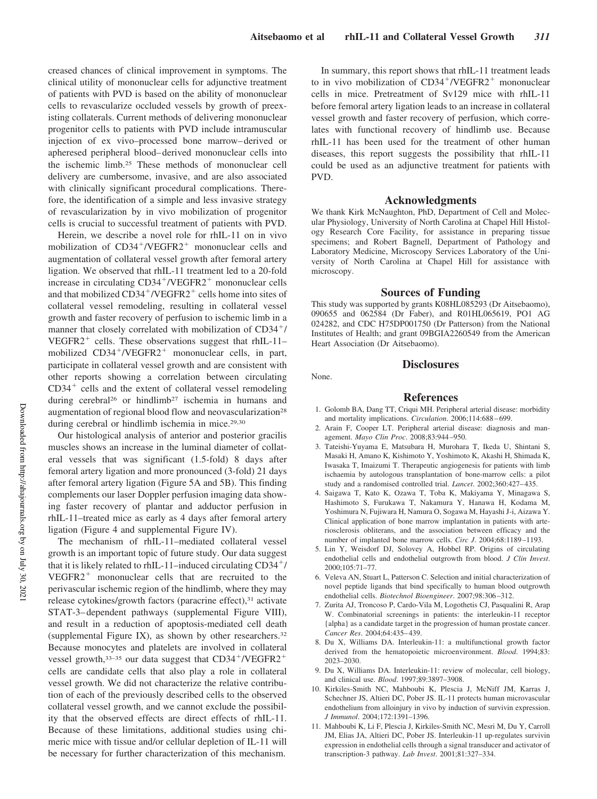creased chances of clinical improvement in symptoms. The clinical utility of mononuclear cells for adjunctive treatment of patients with PVD is based on the ability of mononuclear cells to revascularize occluded vessels by growth of preexisting collaterals. Current methods of delivering mononuclear progenitor cells to patients with PVD include intramuscular injection of ex vivo–processed bone marrow–derived or apheresed peripheral blood–derived mononuclear cells into the ischemic limb.<sup>25</sup> These methods of mononuclear cell delivery are cumbersome, invasive, and are also associated with clinically significant procedural complications. Therefore, the identification of a simple and less invasive strategy of revascularization by in vivo mobilization of progenitor cells is crucial to successful treatment of patients with PVD.

Herein, we describe a novel role for rhIL-11 on in vivo mobilization of CD34<sup>+</sup>/VEGFR2<sup>+</sup> mononuclear cells and augmentation of collateral vessel growth after femoral artery ligation. We observed that rhIL-11 treatment led to a 20-fold increase in circulating CD34<sup>+</sup>/VEGFR2<sup>+</sup> mononuclear cells and that mobilized CD34<sup>+</sup>/VEGFR2<sup>+</sup> cells home into sites of collateral vessel remodeling, resulting in collateral vessel growth and faster recovery of perfusion to ischemic limb in a manner that closely correlated with mobilization of  $CD34<sup>+</sup>/$ VEGFR2<sup>+</sup> cells. These observations suggest that rhIL-11mobilized  $CD34^+/VEGFR2^+$  mononuclear cells, in part, participate in collateral vessel growth and are consistent with other reports showing a correlation between circulating  $CD34<sup>+</sup>$  cells and the extent of collateral vessel remodeling during cerebral<sup>26</sup> or hindlimb<sup>27</sup> ischemia in humans and augmentation of regional blood flow and neovascularization<sup>28</sup> during cerebral or hindlimb ischemia in mice.<sup>29,30</sup>

Our histological analysis of anterior and posterior gracilis muscles shows an increase in the luminal diameter of collateral vessels that was significant (1.5-fold) 8 days after femoral artery ligation and more pronounced (3-fold) 21 days after femoral artery ligation (Figure 5A and 5B). This finding complements our laser Doppler perfusion imaging data showing faster recovery of plantar and adductor perfusion in rhIL-11–treated mice as early as 4 days after femoral artery ligation (Figure 4 and supplemental Figure IV).

The mechanism of rhIL-11–mediated collateral vessel growth is an important topic of future study. Our data suggest that it is likely related to rhIL-11–induced circulating  $CD34^+$ /  $VEGFR2<sup>+</sup>$  mononuclear cells that are recruited to the perivascular ischemic region of the hindlimb, where they may release cytokines/growth factors (paracrine effect),<sup>31</sup> activate STAT-3–dependent pathways (supplemental Figure VIII), and result in a reduction of apoptosis-mediated cell death (supplemental Figure IX), as shown by other researchers.<sup>32</sup> Because monocytes and platelets are involved in collateral vessel growth,  $33-35$  our data suggest that CD34<sup>+</sup>/VEGFR2<sup>+</sup> cells are candidate cells that also play a role in collateral vessel growth. We did not characterize the relative contribution of each of the previously described cells to the observed collateral vessel growth, and we cannot exclude the possibility that the observed effects are direct effects of rhIL-11. Because of these limitations, additional studies using chimeric mice with tissue and/or cellular depletion of IL-11 will be necessary for further characterization of this mechanism.

In summary, this report shows that rhIL-11 treatment leads to in vivo mobilization of  $CD34+/VEGFR2+$  mononuclear cells in mice. Pretreatment of Sv129 mice with rhIL-11 before femoral artery ligation leads to an increase in collateral vessel growth and faster recovery of perfusion, which correlates with functional recovery of hindlimb use. Because rhIL-11 has been used for the treatment of other human diseases, this report suggests the possibility that rhIL-11 could be used as an adjunctive treatment for patients with PVD.

#### **Acknowledgments**

We thank Kirk McNaughton, PhD, Department of Cell and Molecular Physiology, University of North Carolina at Chapel Hill Histology Research Core Facility, for assistance in preparing tissue specimens; and Robert Bagnell, Department of Pathology and Laboratory Medicine, Microscopy Services Laboratory of the University of North Carolina at Chapel Hill for assistance with microscopy.

#### **Sources of Funding**

This study was supported by grants K08HL085293 (Dr Aitsebaomo), 090655 and 062584 (Dr Faber), and R01HL065619, PO1 AG 024282, and CDC H75DP001750 (Dr Patterson) from the National Institutes of Health; and grant 09BGIA2260549 from the American Heart Association (Dr Aitsebaomo).

## **Disclosures**

# **References**

None.

- 1. Golomb BA, Dang TT, Criqui MH. Peripheral arterial disease: morbidity and mortality implications. *Circulation*. 2006;114:688–699.
- 2. Arain F, Cooper LT. Peripheral arterial disease: diagnosis and management. *Mayo Clin Proc*. 2008;83:944–950.
- 3. Tateishi-Yuyama E, Matsubara H, Murohara T, Ikeda U, Shintani S, Masaki H, Amano K, Kishimoto Y, Yoshimoto K, Akashi H, Shimada K, Iwasaka T, Imaizumi T. Therapeutic angiogenesis for patients with limb ischaemia by autologous transplantation of bone-marrow cells: a pilot study and a randomised controlled trial. *Lancet*. 2002;360:427–435.
- 4. Saigawa T, Kato K, Ozawa T, Toba K, Makiyama Y, Minagawa S, Hashimoto S, Furukawa T, Nakamura Y, Hanawa H, Kodama M, Yoshimura N, Fujiwara H, Namura O, Sogawa M, Hayashi J-i, Aizawa Y. Clinical application of bone marrow implantation in patients with arteriosclerosis obliterans, and the association between efficacy and the number of implanted bone marrow cells. *Circ J*. 2004;68:1189–1193.
- 5. Lin Y, Weisdorf DJ, Solovey A, Hobbel RP. Origins of circulating endothelial cells and endothelial outgrowth from blood. *J Clin Invest*. 2000;105:71–77.
- 6. Veleva AN, Stuart L, Patterson C. Selection and initial characterization of novel peptide ligands that bind specifically to human blood outgrowth endothelial cells. *Biotechnol Bioengineer*. 2007;98:306–312.
- 7. Zurita AJ, Troncoso P, Cardo-Vila M, Logothetis CJ, Pasqualini R, Arap W. Combinatorial screenings in patients: the interleukin-11 receptor {alpha} as a candidate target in the progression of human prostate cancer. *Cancer Res*. 2004;64:435–439.
- 8. Du X, Williams DA. Interleukin-11: a multifunctional growth factor derived from the hematopoietic microenvironment. *Blood*. 1994;83: 2023–2030.
- 9. Du X, Williams DA. Interleukin-11: review of molecular, cell biology, and clinical use. *Blood*. 1997;89:3897–3908.
- 10. Kirkiles-Smith NC, Mahboubi K, Plescia J, McNiff JM, Karras J, Schechner JS, Altieri DC, Pober JS. IL-11 protects human microvascular endothelium from alloinjury in vivo by induction of survivin expression. *J Immunol*. 2004;172:1391–1396.
- 11. Mahboubi K, Li F, Plescia J, Kirkiles-Smith NC, Mesri M, Du Y, Carroll JM, Elias JA, Altieri DC, Pober JS. Interleukin-11 up-regulates survivin expression in endothelial cells through a signal transducer and activator of transcription-3 pathway. *Lab Invest*. 2001;81:327–334.